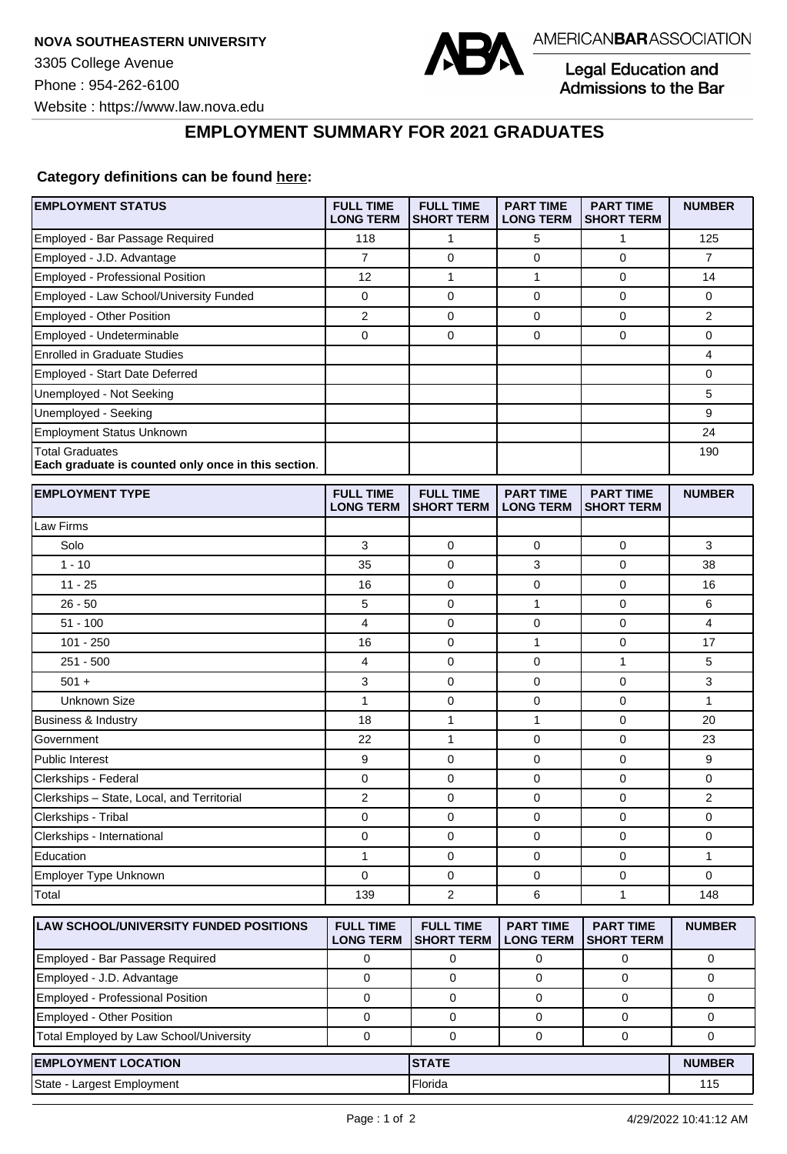

Legal Education and<br>Admissions to the Bar

**EMPLOYMENT SUMMARY FOR 2021 GRADUATES**

## **Category definitions can be found [here:](https://www.americanbar.org/content/dam/aba/administrative/legal_education_and_admissions_to_the_bar/Questionnaires/2021/2022-employment-protocols-for-the-class-of-2021-september-2021.pdf)**

| <b>EMPLOYMENT STATUS</b>                                                      | <b>FULL TIME</b><br><b>LONG TERM</b> | <b>FULL TIME</b><br><b>SHORT TERM</b> | <b>PART TIME</b><br><b>LONG TERM</b> | <b>PART TIME</b><br><b>SHORT TERM</b> | <b>NUMBER</b>  |
|-------------------------------------------------------------------------------|--------------------------------------|---------------------------------------|--------------------------------------|---------------------------------------|----------------|
| Employed - Bar Passage Required                                               | 118                                  | 1                                     | 5                                    | 1                                     | 125            |
| Employed - J.D. Advantage                                                     | $\overline{7}$                       | $\mathbf 0$                           | 0                                    | $\mathbf 0$                           | $\overline{7}$ |
| <b>Employed - Professional Position</b>                                       | 12                                   | $\mathbf{1}$                          | 1                                    | $\mathbf 0$                           | 14             |
| Employed - Law School/University Funded                                       | 0                                    | $\mathbf 0$                           | 0                                    | $\mathbf 0$                           | 0              |
| Employed - Other Position                                                     | $\overline{2}$                       | 0                                     | $\mathbf 0$                          | $\pmb{0}$                             | $\overline{2}$ |
| Employed - Undeterminable                                                     | $\mathbf 0$                          | 0                                     | 0                                    | $\mathbf 0$                           | 0              |
| <b>Enrolled in Graduate Studies</b>                                           |                                      |                                       |                                      |                                       | 4              |
| Employed - Start Date Deferred                                                |                                      |                                       |                                      |                                       | 0              |
| Unemployed - Not Seeking                                                      |                                      |                                       |                                      |                                       | 5              |
| Unemployed - Seeking                                                          |                                      |                                       |                                      |                                       | 9              |
| Employment Status Unknown                                                     |                                      |                                       |                                      |                                       | 24             |
| <b>Total Graduates</b><br>Each graduate is counted only once in this section. |                                      |                                       |                                      |                                       | 190            |
| <b>EMPLOYMENT TYPE</b>                                                        | <b>FULL TIME</b><br><b>LONG TERM</b> | <b>FULL TIME</b><br><b>SHORT TERM</b> | <b>PART TIME</b><br><b>LONG TERM</b> | <b>PART TIME</b><br><b>SHORT TERM</b> | <b>NUMBER</b>  |
| Law Firms                                                                     |                                      |                                       |                                      |                                       |                |
| Solo                                                                          | 3                                    | 0                                     | 0                                    | 0                                     | 3              |
| $1 - 10$                                                                      | 35                                   | $\mathbf 0$                           | 3                                    | $\mathbf 0$                           | 38             |
| $11 - 25$                                                                     | 16                                   | 0                                     | 0                                    | $\mathbf 0$                           | 16             |
| $26 - 50$                                                                     | 5                                    | 0                                     | 1                                    | $\mathbf 0$                           | 6              |
| $51 - 100$                                                                    | 4                                    | 0                                     | 0                                    | $\mathbf 0$                           | 4              |
| $101 - 250$                                                                   | 16                                   | 0                                     | 1                                    | $\mathbf 0$                           | 17             |
| $251 - 500$                                                                   | 4                                    | $\mathbf 0$                           | 0                                    | $\mathbf{1}$                          | 5              |
| $501 +$                                                                       | 3                                    | 0                                     | 0                                    | $\mathbf 0$                           | 3              |
| <b>Unknown Size</b>                                                           | $\mathbf{1}$                         | 0                                     | 0                                    | 0                                     | $\mathbf{1}$   |
| <b>Business &amp; Industry</b>                                                | 18                                   | 1                                     | $\mathbf{1}$                         | $\mathbf 0$                           | 20             |
| Government                                                                    | 22                                   | $\mathbf{1}$                          | 0                                    | $\mathbf 0$                           | 23             |
| Public Interest                                                               | 9                                    | 0                                     | 0                                    | $\mathbf 0$                           | 9              |
| Clerkships - Federal                                                          | 0                                    | 0                                     | 0                                    | 0                                     | 0              |
| Clerkships - State, Local, and Territorial                                    | $\overline{c}$                       | 0                                     | 0                                    | 0                                     | 2              |
| Clerkships - Tribal                                                           | 0                                    | 0                                     | 0                                    | $\mathbf 0$                           | 0              |
| Clerkships - International                                                    | 0                                    | 0                                     | 0                                    | $\mathbf 0$                           | 0              |
| Education                                                                     | 1                                    | 0                                     | 0                                    | $\pmb{0}$                             | 1              |
| Employer Type Unknown                                                         | $\Omega$                             | $\mathbf 0$                           | $\mathbf 0$                          | $\mathbf{0}$                          | 0              |
| Total                                                                         | 139                                  | $\overline{\mathbf{c}}$               | 6                                    | 1                                     | 148            |
| LAW SCHOOL/UNIVERSITY FUNDED POSITIONS                                        | <b>FULL TIME</b><br><b>LONG TERM</b> | <b>FULL TIME</b><br><b>SHORT TERM</b> | <b>PART TIME</b><br><b>LONG TERM</b> | <b>PART TIME</b><br><b>SHORT TERM</b> | <b>NUMBER</b>  |
| Employed - Bar Passage Required                                               | 0                                    | 0                                     | 0                                    | 0                                     | 0              |
| Employed - J.D. Advantage                                                     | $\mathbf 0$                          | 0                                     | 0                                    | 0                                     | 0              |
| Employed - Professional Position                                              | $\mathbf 0$                          | 0                                     | 0                                    | $\mathbf 0$                           | 0              |
| Employed - Other Position                                                     | 0                                    | 0                                     | 0                                    | 0                                     | 0              |
| Total Employed by Law School/University                                       | $\mathbf 0$                          | 0                                     | $\mathbf 0$                          | 0                                     | 0              |
| <b>EMPLOYMENT LOCATION</b>                                                    |                                      |                                       | <b>STATE</b>                         |                                       |                |
| State - Largest Employment                                                    |                                      | Florida                               |                                      |                                       | 115            |
|                                                                               |                                      |                                       |                                      |                                       |                |